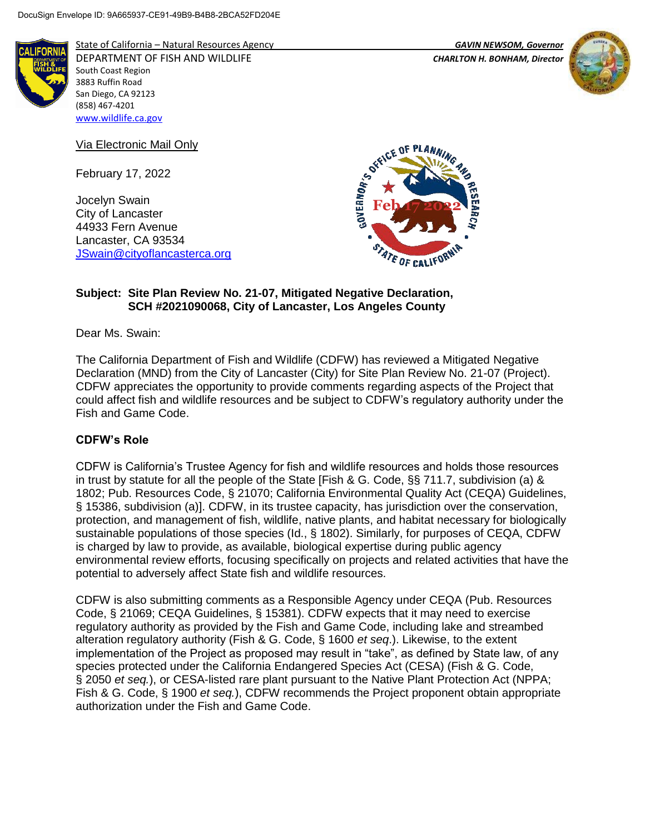

State of California – Natural Resources Agency *GAVIN NEWSOM, Governor* DEPARTMENT OF FISH AND WILDLIFE *CHARLTON H. BONHAM, Director*  South Coast Region 3883 Ruffin Road San Diego, CA 92123 (858) 467-4201 [www.wildlife.ca.gov](http://www.wildlife.ca.gov/)

Via Electronic Mail Only

February 17, 2022

Jocelyn Swain City of Lancaster 44933 Fern Avenue Lancaster, CA 93534 [JSwain@cityoflancasterca.org](mailto:JSwain@cityoflancasterca.org)



## **Subject: Site Plan Review No. 21-07, Mitigated Negative Declaration, SCH #2021090068, City of Lancaster, Los Angeles County**

Dear Ms. Swain:

The California Department of Fish and Wildlife (CDFW) has reviewed a Mitigated Negative Declaration (MND) from the City of Lancaster (City) for Site Plan Review No. 21-07 (Project). CDFW appreciates the opportunity to provide comments regarding aspects of the Project that could affect fish and wildlife resources and be subject to CDFW's regulatory authority under the Fish and Game Code.

# **CDFW's Role**

CDFW is California's Trustee Agency for fish and wildlife resources and holds those resources in trust by statute for all the people of the State [Fish & G. Code, §§ 711.7, subdivision (a) & 1802; Pub. Resources Code, § 21070; California Environmental Quality Act (CEQA) Guidelines, § 15386, subdivision (a)]. CDFW, in its trustee capacity, has jurisdiction over the conservation, protection, and management of fish, wildlife, native plants, and habitat necessary for biologically sustainable populations of those species (Id., § 1802). Similarly, for purposes of CEQA, CDFW is charged by law to provide, as available, biological expertise during public agency environmental review efforts, focusing specifically on projects and related activities that have the potential to adversely affect State fish and wildlife resources.

CDFW is also submitting comments as a Responsible Agency under CEQA (Pub. Resources Code, § 21069; CEQA Guidelines, § 15381). CDFW expects that it may need to exercise regulatory authority as provided by the Fish and Game Code, including lake and streambed alteration regulatory authority (Fish & G. Code, § 1600 *et seq*.). Likewise, to the extent implementation of the Project as proposed may result in "take", as defined by State law, of any species protected under the California Endangered Species Act (CESA) (Fish & G. Code, § 2050 *et seq.*), or CESA-listed rare plant pursuant to the Native Plant Protection Act (NPPA; Fish & G. Code, § 1900 *et seq.*), CDFW recommends the Project proponent obtain appropriate authorization under the Fish and Game Code.

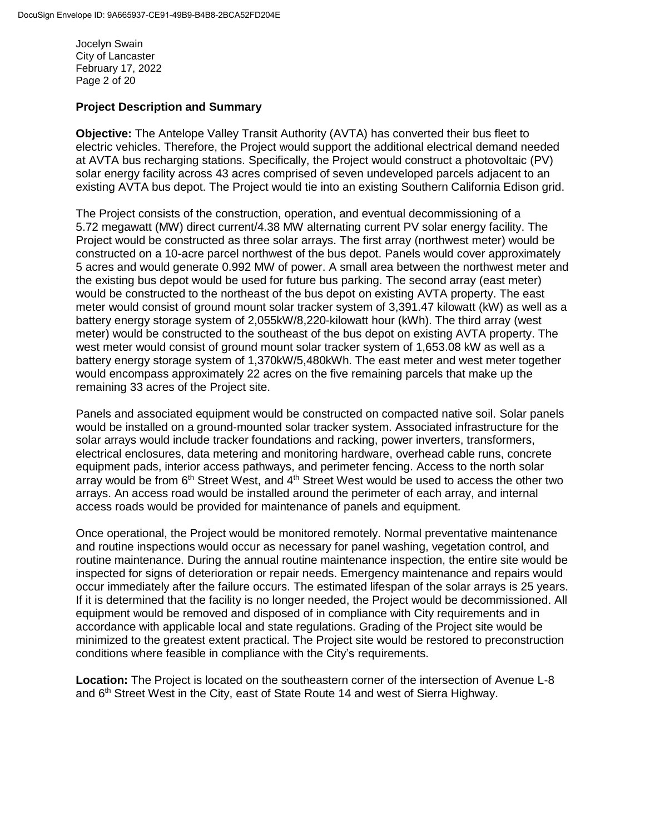Jocelyn Swain City of Lancaster February 17, 2022 Page 2 of 20

## **Project Description and Summary**

**Objective:** The Antelope Valley Transit Authority (AVTA) has converted their bus fleet to electric vehicles. Therefore, the Project would support the additional electrical demand needed at AVTA bus recharging stations. Specifically, the Project would construct a photovoltaic (PV) solar energy facility across 43 acres comprised of seven undeveloped parcels adjacent to an existing AVTA bus depot. The Project would tie into an existing Southern California Edison grid.

The Project consists of the construction, operation, and eventual decommissioning of a 5.72 megawatt (MW) direct current/4.38 MW alternating current PV solar energy facility. The Project would be constructed as three solar arrays. The first array (northwest meter) would be constructed on a 10-acre parcel northwest of the bus depot. Panels would cover approximately 5 acres and would generate 0.992 MW of power. A small area between the northwest meter and the existing bus depot would be used for future bus parking. The second array (east meter) would be constructed to the northeast of the bus depot on existing AVTA property. The east meter would consist of ground mount solar tracker system of 3,391.47 kilowatt (kW) as well as a battery energy storage system of 2,055kW/8,220-kilowatt hour (kWh). The third array (west meter) would be constructed to the southeast of the bus depot on existing AVTA property. The west meter would consist of ground mount solar tracker system of 1,653.08 kW as well as a battery energy storage system of 1,370kW/5,480kWh. The east meter and west meter together would encompass approximately 22 acres on the five remaining parcels that make up the remaining 33 acres of the Project site.

Panels and associated equipment would be constructed on compacted native soil. Solar panels would be installed on a ground-mounted solar tracker system. Associated infrastructure for the solar arrays would include tracker foundations and racking, power inverters, transformers, electrical enclosures, data metering and monitoring hardware, overhead cable runs, concrete equipment pads, interior access pathways, and perimeter fencing. Access to the north solar array would be from  $6<sup>th</sup>$  Street West, and  $4<sup>th</sup>$  Street West would be used to access the other two arrays. An access road would be installed around the perimeter of each array, and internal access roads would be provided for maintenance of panels and equipment.

Once operational, the Project would be monitored remotely. Normal preventative maintenance and routine inspections would occur as necessary for panel washing, vegetation control, and routine maintenance. During the annual routine maintenance inspection, the entire site would be inspected for signs of deterioration or repair needs. Emergency maintenance and repairs would occur immediately after the failure occurs. The estimated lifespan of the solar arrays is 25 years. If it is determined that the facility is no longer needed, the Project would be decommissioned. All equipment would be removed and disposed of in compliance with City requirements and in accordance with applicable local and state regulations. Grading of the Project site would be minimized to the greatest extent practical. The Project site would be restored to preconstruction conditions where feasible in compliance with the City's requirements.

**Location:** The Project is located on the southeastern corner of the intersection of Avenue L-8 and 6<sup>th</sup> Street West in the City, east of State Route 14 and west of Sierra Highway.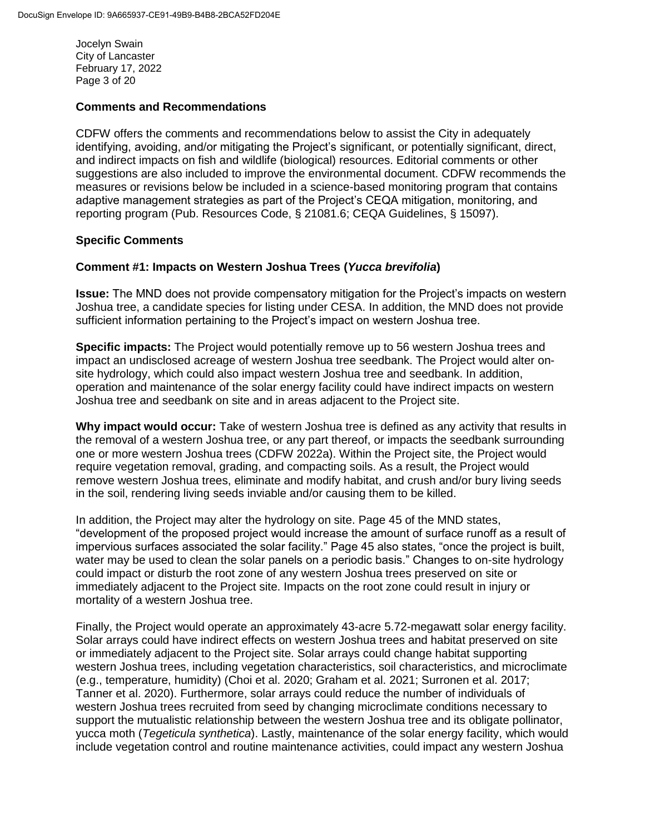Jocelyn Swain City of Lancaster February 17, 2022 Page 3 of 20

#### **Comments and Recommendations**

CDFW offers the comments and recommendations below to assist the City in adequately identifying, avoiding, and/or mitigating the Project's significant, or potentially significant, direct, and indirect impacts on fish and wildlife (biological) resources. Editorial comments or other suggestions are also included to improve the environmental document. CDFW recommends the measures or revisions below be included in a science-based monitoring program that contains adaptive management strategies as part of the Project's CEQA mitigation, monitoring, and reporting program (Pub. Resources Code, § 21081.6; CEQA Guidelines, § 15097).

#### **Specific Comments**

#### **Comment #1: Impacts on Western Joshua Trees (***Yucca brevifolia***)**

**Issue:** The MND does not provide compensatory mitigation for the Project's impacts on western Joshua tree, a candidate species for listing under CESA. In addition, the MND does not provide sufficient information pertaining to the Project's impact on western Joshua tree.

**Specific impacts:** The Project would potentially remove up to 56 western Joshua trees and impact an undisclosed acreage of western Joshua tree seedbank. The Project would alter onsite hydrology, which could also impact western Joshua tree and seedbank. In addition, operation and maintenance of the solar energy facility could have indirect impacts on western Joshua tree and seedbank on site and in areas adjacent to the Project site.

**Why impact would occur:** Take of western Joshua tree is defined as any activity that results in the removal of a western Joshua tree, or any part thereof, or impacts the seedbank surrounding one or more western Joshua trees (CDFW 2022a). Within the Project site, the Project would require vegetation removal, grading, and compacting soils. As a result, the Project would remove western Joshua trees, eliminate and modify habitat, and crush and/or bury living seeds in the soil, rendering living seeds inviable and/or causing them to be killed.

In addition, the Project may alter the hydrology on site. Page 45 of the MND states, "development of the proposed project would increase the amount of surface runoff as a result of impervious surfaces associated the solar facility." Page 45 also states, "once the project is built, water may be used to clean the solar panels on a periodic basis." Changes to on-site hydrology could impact or disturb the root zone of any western Joshua trees preserved on site or immediately adjacent to the Project site. Impacts on the root zone could result in injury or mortality of a western Joshua tree.

Finally, the Project would operate an approximately 43-acre 5.72-megawatt solar energy facility. Solar arrays could have indirect effects on western Joshua trees and habitat preserved on site or immediately adjacent to the Project site. Solar arrays could change habitat supporting western Joshua trees, including vegetation characteristics, soil characteristics, and microclimate (e.g., temperature, humidity) (Choi et al. 2020; Graham et al. 2021; Surronen et al. 2017; Tanner et al. 2020). Furthermore, solar arrays could reduce the number of individuals of western Joshua trees recruited from seed by changing microclimate conditions necessary to support the mutualistic relationship between the western Joshua tree and its obligate pollinator, yucca moth (*Tegeticula synthetica*). Lastly, maintenance of the solar energy facility, which would include vegetation control and routine maintenance activities, could impact any western Joshua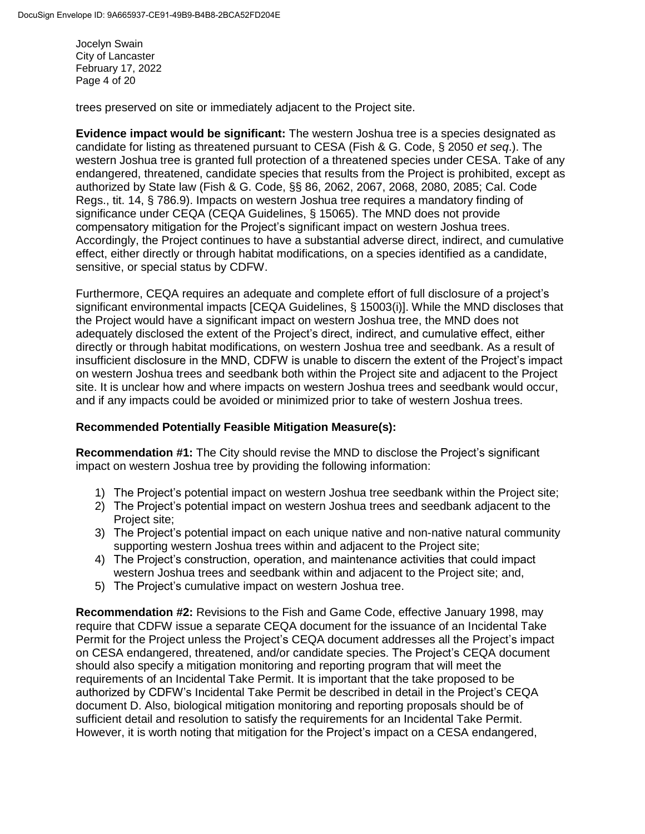Jocelyn Swain City of Lancaster February 17, 2022 Page 4 of 20

trees preserved on site or immediately adjacent to the Project site.

**Evidence impact would be significant:** The western Joshua tree is a species designated as candidate for listing as threatened pursuant to CESA (Fish & G. Code, § 2050 *et seq*.). The western Joshua tree is granted full protection of a threatened species under CESA. Take of any endangered, threatened, candidate species that results from the Project is prohibited, except as authorized by State law (Fish & G. Code, §§ 86, 2062, 2067, 2068, 2080, 2085; Cal. Code Regs., tit. 14, § 786.9). Impacts on western Joshua tree requires a mandatory finding of significance under CEQA (CEQA Guidelines, § 15065). The MND does not provide compensatory mitigation for the Project's significant impact on western Joshua trees. Accordingly, the Project continues to have a substantial adverse direct, indirect, and cumulative effect, either directly or through habitat modifications, on a species identified as a candidate, sensitive, or special status by CDFW.

Furthermore, CEQA requires an adequate and complete effort of full disclosure of a project's significant environmental impacts [CEQA Guidelines, § 15003(i)]. While the MND discloses that the Project would have a significant impact on western Joshua tree, the MND does not adequately disclosed the extent of the Project's direct, indirect, and cumulative effect, either directly or through habitat modifications, on western Joshua tree and seedbank. As a result of insufficient disclosure in the MND, CDFW is unable to discern the extent of the Project's impact on western Joshua trees and seedbank both within the Project site and adjacent to the Project site. It is unclear how and where impacts on western Joshua trees and seedbank would occur, and if any impacts could be avoided or minimized prior to take of western Joshua trees.

#### **Recommended Potentially Feasible Mitigation Measure(s):**

**Recommendation #1:** The City should revise the MND to disclose the Project's significant impact on western Joshua tree by providing the following information:

- 1) The Project's potential impact on western Joshua tree seedbank within the Project site;
- 2) The Project's potential impact on western Joshua trees and seedbank adjacent to the Project site;
- 3) The Project's potential impact on each unique native and non-native natural community supporting western Joshua trees within and adjacent to the Project site;
- 4) The Project's construction, operation, and maintenance activities that could impact western Joshua trees and seedbank within and adjacent to the Project site; and,
- 5) The Project's cumulative impact on western Joshua tree.

**Recommendation #2:** Revisions to the Fish and Game Code, effective January 1998, may require that CDFW issue a separate CEQA document for the issuance of an Incidental Take Permit for the Project unless the Project's CEQA document addresses all the Project's impact on CESA endangered, threatened, and/or candidate species. The Project's CEQA document should also specify a mitigation monitoring and reporting program that will meet the requirements of an Incidental Take Permit. It is important that the take proposed to be authorized by CDFW's Incidental Take Permit be described in detail in the Project's CEQA document D. Also, biological mitigation monitoring and reporting proposals should be of sufficient detail and resolution to satisfy the requirements for an Incidental Take Permit. However, it is worth noting that mitigation for the Project's impact on a CESA endangered,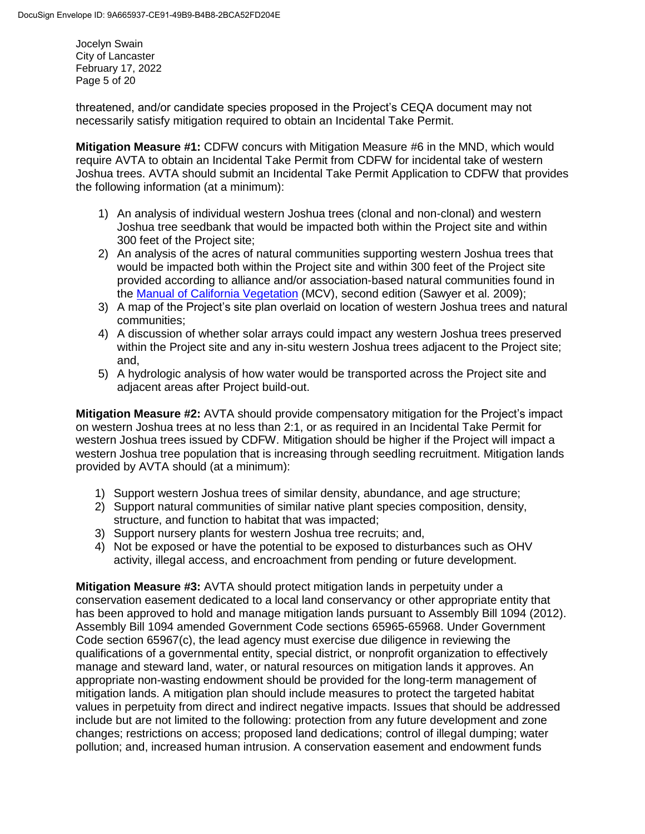Jocelyn Swain City of Lancaster February 17, 2022 Page 5 of 20

threatened, and/or candidate species proposed in the Project's CEQA document may not necessarily satisfy mitigation required to obtain an Incidental Take Permit.

**Mitigation Measure #1:** CDFW concurs with Mitigation Measure #6 in the MND, which would require AVTA to obtain an Incidental Take Permit from CDFW for incidental take of western Joshua trees. AVTA should submit an Incidental Take Permit Application to CDFW that provides the following information (at a minimum):

- 1) An analysis of individual western Joshua trees (clonal and non-clonal) and western Joshua tree seedbank that would be impacted both within the Project site and within 300 feet of the Project site;
- 2) An analysis of the acres of natural communities supporting western Joshua trees that would be impacted both within the Project site and within 300 feet of the Project site provided according to alliance and/or association-based natural communities found in the [Manual of California Vegetation](https://vegetation.cnps.org/) (MCV), second edition (Sawyer et al. 2009);
- 3) A map of the Project's site plan overlaid on location of western Joshua trees and natural communities;
- 4) A discussion of whether solar arrays could impact any western Joshua trees preserved within the Project site and any in-situ western Joshua trees adjacent to the Project site; and,
- 5) A hydrologic analysis of how water would be transported across the Project site and adjacent areas after Project build-out.

**Mitigation Measure #2:** AVTA should provide compensatory mitigation for the Project's impact on western Joshua trees at no less than 2:1, or as required in an Incidental Take Permit for western Joshua trees issued by CDFW. Mitigation should be higher if the Project will impact a western Joshua tree population that is increasing through seedling recruitment. Mitigation lands provided by AVTA should (at a minimum):

- 1) Support western Joshua trees of similar density, abundance, and age structure;
- 2) Support natural communities of similar native plant species composition, density, structure, and function to habitat that was impacted;
- 3) Support nursery plants for western Joshua tree recruits; and,
- 4) Not be exposed or have the potential to be exposed to disturbances such as OHV activity, illegal access, and encroachment from pending or future development.

**Mitigation Measure #3:** AVTA should protect mitigation lands in perpetuity under a conservation easement dedicated to a local land conservancy or other appropriate entity that has been approved to hold and manage mitigation lands pursuant to Assembly Bill 1094 (2012). Assembly Bill 1094 amended Government Code sections 65965-65968. Under Government Code section 65967(c), the lead agency must exercise due diligence in reviewing the qualifications of a governmental entity, special district, or nonprofit organization to effectively manage and steward land, water, or natural resources on mitigation lands it approves. An appropriate non-wasting endowment should be provided for the long-term management of mitigation lands. A mitigation plan should include measures to protect the targeted habitat values in perpetuity from direct and indirect negative impacts. Issues that should be addressed include but are not limited to the following: protection from any future development and zone changes; restrictions on access; proposed land dedications; control of illegal dumping; water pollution; and, increased human intrusion. A conservation easement and endowment funds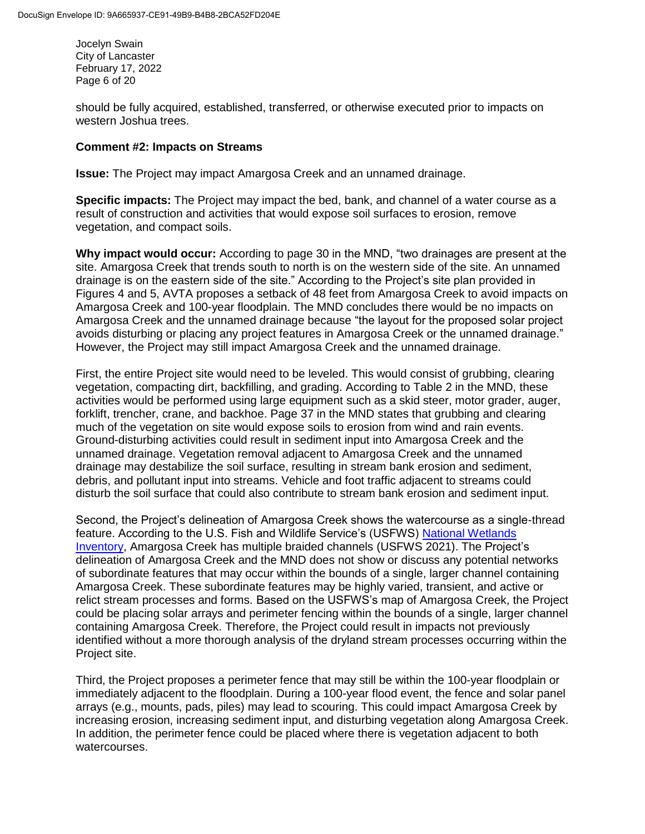Jocelyn Swain City of Lancaster February 17, 2022 Page 6 of 20

should be fully acquired, established, transferred, or otherwise executed prior to impacts on western Joshua trees.

#### **Comment #2: Impacts on Streams**

**Issue:** The Project may impact Amargosa Creek and an unnamed drainage.

**Specific impacts:** The Project may impact the bed, bank, and channel of a water course as a result of construction and activities that would expose soil surfaces to erosion, remove vegetation, and compact soils.

**Why impact would occur:** According to page 30 in the MND, "two drainages are present at the site. Amargosa Creek that trends south to north is on the western side of the site. An unnamed drainage is on the eastern side of the site." According to the Project's site plan provided in Figures 4 and 5, AVTA proposes a setback of 48 feet from Amargosa Creek to avoid impacts on Amargosa Creek and 100-year floodplain. The MND concludes there would be no impacts on Amargosa Creek and the unnamed drainage because "the layout for the proposed solar project avoids disturbing or placing any project features in Amargosa Creek or the unnamed drainage." However, the Project may still impact Amargosa Creek and the unnamed drainage.

First, the entire Project site would need to be leveled. This would consist of grubbing, clearing vegetation, compacting dirt, backfilling, and grading. According to Table 2 in the MND, these activities would be performed using large equipment such as a skid steer, motor grader, auger, forklift, trencher, crane, and backhoe. Page 37 in the MND states that grubbing and clearing much of the vegetation on site would expose soils to erosion from wind and rain events. Ground-disturbing activities could result in sediment input into Amargosa Creek and the unnamed drainage. Vegetation removal adjacent to Amargosa Creek and the unnamed drainage may destabilize the soil surface, resulting in stream bank erosion and sediment, debris, and pollutant input into streams. Vehicle and foot traffic adjacent to streams could disturb the soil surface that could also contribute to stream bank erosion and sediment input.

Second, the Project's delineation of Amargosa Creek shows the watercourse as a single-thread feature. According to the U.S. Fish and Wildlife Service's (USFWS) [National Wetlands](https://www.fws.gov/wetlands/data/mapper.html)  [Inventory,](https://www.fws.gov/wetlands/data/mapper.html) Amargosa Creek has multiple braided channels (USFWS 2021). The Project's delineation of Amargosa Creek and the MND does not show or discuss any potential networks of subordinate features that may occur within the bounds of a single, larger channel containing Amargosa Creek. These subordinate features may be highly varied, transient, and active or relict stream processes and forms. Based on the USFWS's map of Amargosa Creek, the Project could be placing solar arrays and perimeter fencing within the bounds of a single, larger channel containing Amargosa Creek. Therefore, the Project could result in impacts not previously identified without a more thorough analysis of the dryland stream processes occurring within the Project site.

Third, the Project proposes a perimeter fence that may still be within the 100-year floodplain or immediately adjacent to the floodplain. During a 100-year flood event, the fence and solar panel arrays (e.g., mounts, pads, piles) may lead to scouring. This could impact Amargosa Creek by increasing erosion, increasing sediment input, and disturbing vegetation along Amargosa Creek. In addition, the perimeter fence could be placed where there is vegetation adjacent to both watercourses.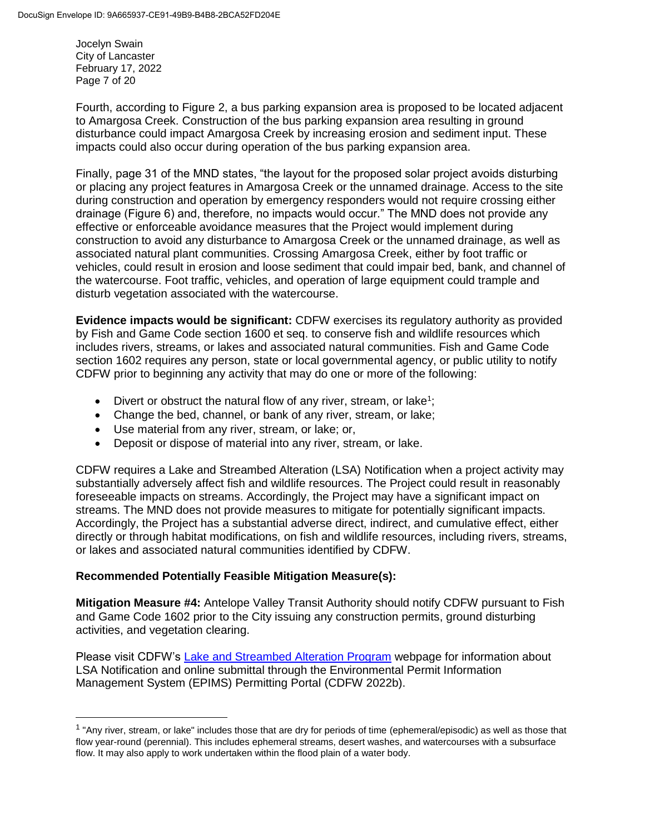Jocelyn Swain City of Lancaster February 17, 2022 Page 7 of 20

 $\overline{\phantom{a}}$ 

Fourth, according to Figure 2, a bus parking expansion area is proposed to be located adjacent to Amargosa Creek. Construction of the bus parking expansion area resulting in ground disturbance could impact Amargosa Creek by increasing erosion and sediment input. These impacts could also occur during operation of the bus parking expansion area.

Finally, page 31 of the MND states, "the layout for the proposed solar project avoids disturbing or placing any project features in Amargosa Creek or the unnamed drainage. Access to the site during construction and operation by emergency responders would not require crossing either drainage (Figure 6) and, therefore, no impacts would occur." The MND does not provide any effective or enforceable avoidance measures that the Project would implement during construction to avoid any disturbance to Amargosa Creek or the unnamed drainage, as well as associated natural plant communities. Crossing Amargosa Creek, either by foot traffic or vehicles, could result in erosion and loose sediment that could impair bed, bank, and channel of the watercourse. Foot traffic, vehicles, and operation of large equipment could trample and disturb vegetation associated with the watercourse.

**Evidence impacts would be significant:** CDFW exercises its regulatory authority as provided by Fish and Game Code section 1600 et seq. to conserve fish and wildlife resources which includes rivers, streams, or lakes and associated natural communities. Fish and Game Code section 1602 requires any person, state or local governmental agency, or public utility to notify CDFW prior to beginning any activity that may do one or more of the following:

- Divert or obstruct the natural flow of any river, stream, or lake<sup>1</sup>;
- Change the bed, channel, or bank of any river, stream, or lake;
- Use material from any river, stream, or lake; or,
- Deposit or dispose of material into any river, stream, or lake.

CDFW requires a Lake and Streambed Alteration (LSA) Notification when a project activity may substantially adversely affect fish and wildlife resources. The Project could result in reasonably foreseeable impacts on streams. Accordingly, the Project may have a significant impact on streams. The MND does not provide measures to mitigate for potentially significant impacts. Accordingly, the Project has a substantial adverse direct, indirect, and cumulative effect, either directly or through habitat modifications, on fish and wildlife resources, including rivers, streams, or lakes and associated natural communities identified by CDFW.

# **Recommended Potentially Feasible Mitigation Measure(s):**

**Mitigation Measure #4:** Antelope Valley Transit Authority should notify CDFW pursuant to Fish and Game Code 1602 prior to the City issuing any construction permits, ground disturbing activities, and vegetation clearing.

Please visit CDFW's [Lake and Streambed Alteration Program](https://wildlife.ca.gov/Conservation/LSA) webpage for information about LSA Notification and online submittal through the Environmental Permit Information Management System (EPIMS) Permitting Portal (CDFW 2022b).

<sup>&</sup>lt;sup>1</sup> "Any river, stream, or lake" includes those that are dry for periods of time (ephemeral/episodic) as well as those that flow year-round (perennial). This includes ephemeral streams, desert washes, and watercourses with a subsurface flow. It may also apply to work undertaken within the flood plain of a water body.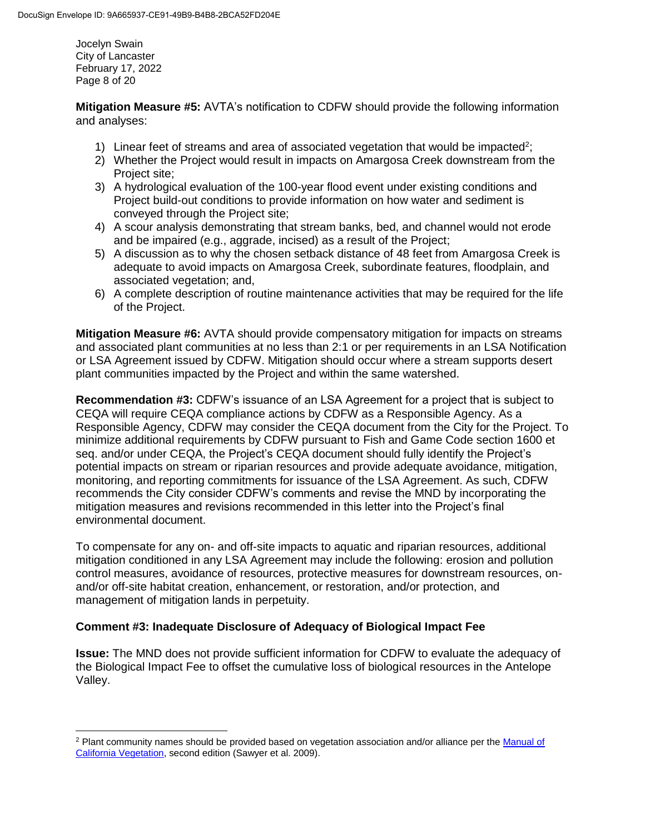Jocelyn Swain City of Lancaster February 17, 2022 Page 8 of 20

**Mitigation Measure #5:** AVTA's notification to CDFW should provide the following information and analyses:

- 1) Linear feet of streams and area of associated vegetation that would be impacted<sup>2</sup>;
- 2) Whether the Project would result in impacts on Amargosa Creek downstream from the Project site;
- 3) A hydrological evaluation of the 100-year flood event under existing conditions and Project build-out conditions to provide information on how water and sediment is conveyed through the Project site;
- 4) A scour analysis demonstrating that stream banks, bed, and channel would not erode and be impaired (e.g., aggrade, incised) as a result of the Project;
- 5) A discussion as to why the chosen setback distance of 48 feet from Amargosa Creek is adequate to avoid impacts on Amargosa Creek, subordinate features, floodplain, and associated vegetation; and,
- 6) A complete description of routine maintenance activities that may be required for the life of the Project.

**Mitigation Measure #6:** AVTA should provide compensatory mitigation for impacts on streams and associated plant communities at no less than 2:1 or per requirements in an LSA Notification or LSA Agreement issued by CDFW. Mitigation should occur where a stream supports desert plant communities impacted by the Project and within the same watershed.

**Recommendation #3:** CDFW's issuance of an LSA Agreement for a project that is subject to CEQA will require CEQA compliance actions by CDFW as a Responsible Agency. As a Responsible Agency, CDFW may consider the CEQA document from the City for the Project. To minimize additional requirements by CDFW pursuant to Fish and Game Code section 1600 et seq. and/or under CEQA, the Project's CEQA document should fully identify the Project's potential impacts on stream or riparian resources and provide adequate avoidance, mitigation, monitoring, and reporting commitments for issuance of the LSA Agreement. As such, CDFW recommends the City consider CDFW's comments and revise the MND by incorporating the mitigation measures and revisions recommended in this letter into the Project's final environmental document.

To compensate for any on- and off-site impacts to aquatic and riparian resources, additional mitigation conditioned in any LSA Agreement may include the following: erosion and pollution control measures, avoidance of resources, protective measures for downstream resources, onand/or off-site habitat creation, enhancement, or restoration, and/or protection, and management of mitigation lands in perpetuity.

# **Comment #3: Inadequate Disclosure of Adequacy of Biological Impact Fee**

**Issue:** The MND does not provide sufficient information for CDFW to evaluate the adequacy of the Biological Impact Fee to offset the cumulative loss of biological resources in the Antelope Valley.

 $\overline{\phantom{a}}$ <sup>2</sup> Plant community names should be provided based on vegetation association and/or alliance per the Manual of [California Vegetation,](http://vegetation.cnps.org/) second edition (Sawyer et al. 2009).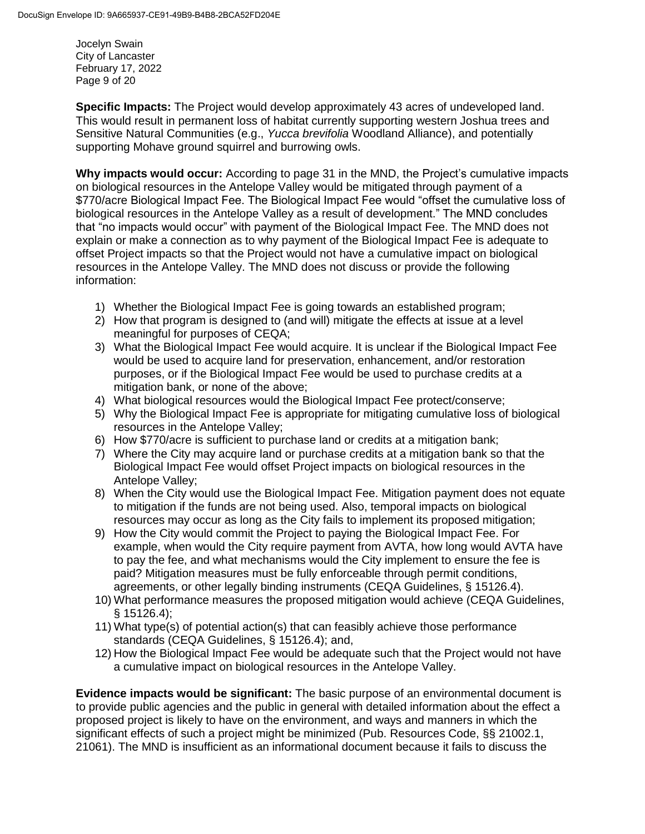Jocelyn Swain City of Lancaster February 17, 2022 Page 9 of 20

**Specific Impacts:** The Project would develop approximately 43 acres of undeveloped land. This would result in permanent loss of habitat currently supporting western Joshua trees and Sensitive Natural Communities (e.g., *Yucca brevifolia* Woodland Alliance), and potentially supporting Mohave ground squirrel and burrowing owls.

**Why impacts would occur:** According to page 31 in the MND, the Project's cumulative impacts on biological resources in the Antelope Valley would be mitigated through payment of a \$770/acre Biological Impact Fee. The Biological Impact Fee would "offset the cumulative loss of biological resources in the Antelope Valley as a result of development." The MND concludes that "no impacts would occur" with payment of the Biological Impact Fee. The MND does not explain or make a connection as to why payment of the Biological Impact Fee is adequate to offset Project impacts so that the Project would not have a cumulative impact on biological resources in the Antelope Valley. The MND does not discuss or provide the following information:

- 1) Whether the Biological Impact Fee is going towards an established program;
- 2) How that program is designed to (and will) mitigate the effects at issue at a level meaningful for purposes of CEQA;
- 3) What the Biological Impact Fee would acquire. It is unclear if the Biological Impact Fee would be used to acquire land for preservation, enhancement, and/or restoration purposes, or if the Biological Impact Fee would be used to purchase credits at a mitigation bank, or none of the above;
- 4) What biological resources would the Biological Impact Fee protect/conserve;
- 5) Why the Biological Impact Fee is appropriate for mitigating cumulative loss of biological resources in the Antelope Valley;
- 6) How \$770/acre is sufficient to purchase land or credits at a mitigation bank;
- 7) Where the City may acquire land or purchase credits at a mitigation bank so that the Biological Impact Fee would offset Project impacts on biological resources in the Antelope Valley;
- 8) When the City would use the Biological Impact Fee. Mitigation payment does not equate to mitigation if the funds are not being used. Also, temporal impacts on biological resources may occur as long as the City fails to implement its proposed mitigation;
- 9) How the City would commit the Project to paying the Biological Impact Fee. For example, when would the City require payment from AVTA, how long would AVTA have to pay the fee, and what mechanisms would the City implement to ensure the fee is paid? Mitigation measures must be fully enforceable through permit conditions, agreements, or other legally binding instruments (CEQA Guidelines, § 15126.4).
- 10) What performance measures the proposed mitigation would achieve (CEQA Guidelines, § 15126.4);
- 11) What type(s) of potential action(s) that can feasibly achieve those performance standards (CEQA Guidelines, § 15126.4); and,
- 12) How the Biological Impact Fee would be adequate such that the Project would not have a cumulative impact on biological resources in the Antelope Valley.

**Evidence impacts would be significant:** The basic purpose of an environmental document is to provide public agencies and the public in general with detailed information about the effect a proposed project is likely to have on the environment, and ways and manners in which the significant effects of such a project might be minimized (Pub. Resources Code, §§ 21002.1, 21061). The MND is insufficient as an informational document because it fails to discuss the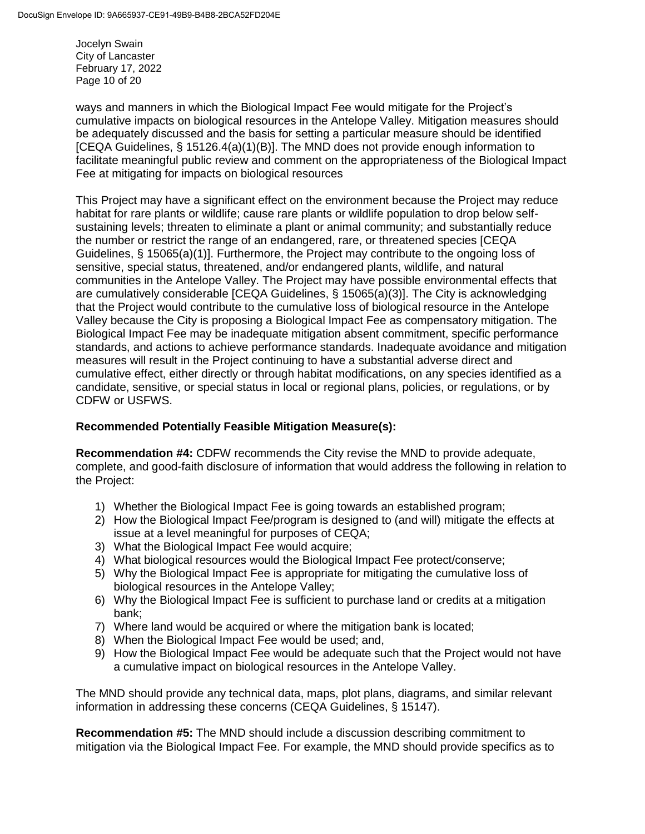Jocelyn Swain City of Lancaster February 17, 2022 Page 10 of 20

ways and manners in which the Biological Impact Fee would mitigate for the Project's cumulative impacts on biological resources in the Antelope Valley. Mitigation measures should be adequately discussed and the basis for setting a particular measure should be identified [CEQA Guidelines, § 15126.4(a)(1)(B)]. The MND does not provide enough information to facilitate meaningful public review and comment on the appropriateness of the Biological Impact Fee at mitigating for impacts on biological resources

This Project may have a significant effect on the environment because the Project may reduce habitat for rare plants or wildlife; cause rare plants or wildlife population to drop below selfsustaining levels; threaten to eliminate a plant or animal community; and substantially reduce the number or restrict the range of an endangered, rare, or threatened species [CEQA Guidelines, § 15065(a)(1)]. Furthermore, the Project may contribute to the ongoing loss of sensitive, special status, threatened, and/or endangered plants, wildlife, and natural communities in the Antelope Valley. The Project may have possible environmental effects that are cumulatively considerable [CEQA Guidelines, § 15065(a)(3)]. The City is acknowledging that the Project would contribute to the cumulative loss of biological resource in the Antelope Valley because the City is proposing a Biological Impact Fee as compensatory mitigation. The Biological Impact Fee may be inadequate mitigation absent commitment, specific performance standards, and actions to achieve performance standards. Inadequate avoidance and mitigation measures will result in the Project continuing to have a substantial adverse direct and cumulative effect, either directly or through habitat modifications, on any species identified as a candidate, sensitive, or special status in local or regional plans, policies, or regulations, or by CDFW or USFWS.

# **Recommended Potentially Feasible Mitigation Measure(s):**

**Recommendation #4:** CDFW recommends the City revise the MND to provide adequate, complete, and good-faith disclosure of information that would address the following in relation to the Project:

- 1) Whether the Biological Impact Fee is going towards an established program;
- 2) How the Biological Impact Fee/program is designed to (and will) mitigate the effects at issue at a level meaningful for purposes of CEQA;
- 3) What the Biological Impact Fee would acquire;
- 4) What biological resources would the Biological Impact Fee protect/conserve;
- 5) Why the Biological Impact Fee is appropriate for mitigating the cumulative loss of biological resources in the Antelope Valley;
- 6) Why the Biological Impact Fee is sufficient to purchase land or credits at a mitigation bank;
- 7) Where land would be acquired or where the mitigation bank is located;
- 8) When the Biological Impact Fee would be used; and,
- 9) How the Biological Impact Fee would be adequate such that the Project would not have a cumulative impact on biological resources in the Antelope Valley.

The MND should provide any technical data, maps, plot plans, diagrams, and similar relevant information in addressing these concerns (CEQA Guidelines, § 15147).

**Recommendation #5:** The MND should include a discussion describing commitment to mitigation via the Biological Impact Fee. For example, the MND should provide specifics as to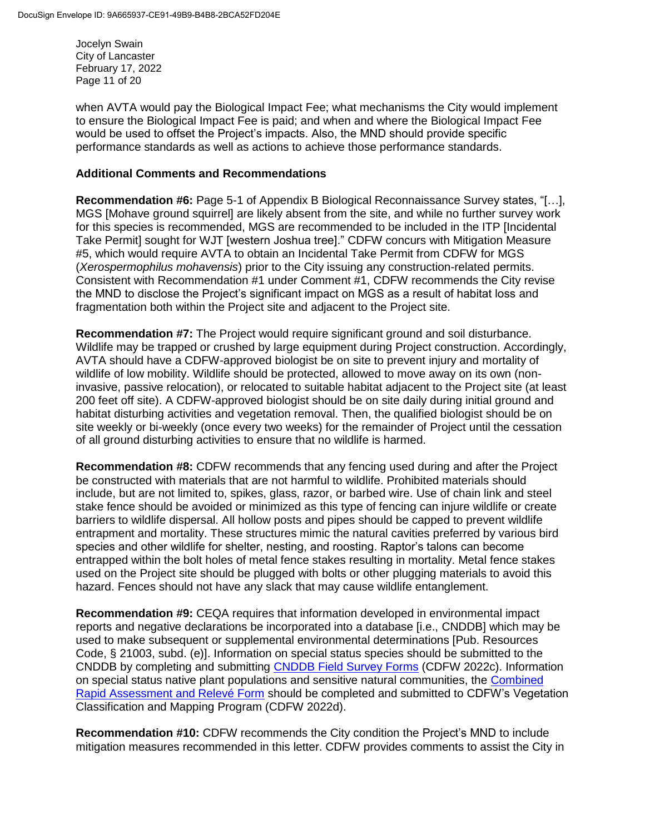Jocelyn Swain City of Lancaster February 17, 2022 Page 11 of 20

when AVTA would pay the Biological Impact Fee; what mechanisms the City would implement to ensure the Biological Impact Fee is paid; and when and where the Biological Impact Fee would be used to offset the Project's impacts. Also, the MND should provide specific performance standards as well as actions to achieve those performance standards.

#### **Additional Comments and Recommendations**

**Recommendation #6:** Page 5-1 of Appendix B Biological Reconnaissance Survey states, "[…], MGS [Mohave ground squirrel] are likely absent from the site, and while no further survey work for this species is recommended, MGS are recommended to be included in the ITP [Incidental Take Permit] sought for WJT [western Joshua tree]." CDFW concurs with Mitigation Measure #5, which would require AVTA to obtain an Incidental Take Permit from CDFW for MGS (*Xerospermophilus mohavensis*) prior to the City issuing any construction-related permits. Consistent with Recommendation #1 under Comment #1, CDFW recommends the City revise the MND to disclose the Project's significant impact on MGS as a result of habitat loss and fragmentation both within the Project site and adjacent to the Project site.

**Recommendation #7:** The Project would require significant ground and soil disturbance. Wildlife may be trapped or crushed by large equipment during Project construction. Accordingly, AVTA should have a CDFW-approved biologist be on site to prevent injury and mortality of wildlife of low mobility. Wildlife should be protected, allowed to move away on its own (noninvasive, passive relocation), or relocated to suitable habitat adjacent to the Project site (at least 200 feet off site). A CDFW-approved biologist should be on site daily during initial ground and habitat disturbing activities and vegetation removal. Then, the qualified biologist should be on site weekly or bi-weekly (once every two weeks) for the remainder of Project until the cessation of all ground disturbing activities to ensure that no wildlife is harmed.

**Recommendation #8:** CDFW recommends that any fencing used during and after the Project be constructed with materials that are not harmful to wildlife. Prohibited materials should include, but are not limited to, spikes, glass, razor, or barbed wire. Use of chain link and steel stake fence should be avoided or minimized as this type of fencing can injure wildlife or create barriers to wildlife dispersal. All hollow posts and pipes should be capped to prevent wildlife entrapment and mortality. These structures mimic the natural cavities preferred by various bird species and other wildlife for shelter, nesting, and roosting. Raptor's talons can become entrapped within the bolt holes of metal fence stakes resulting in mortality. Metal fence stakes used on the Project site should be plugged with bolts or other plugging materials to avoid this hazard. Fences should not have any slack that may cause wildlife entanglement.

**Recommendation #9:** CEQA requires that information developed in environmental impact reports and negative declarations be incorporated into a database [i.e., CNDDB] which may be used to make subsequent or supplemental environmental determinations [Pub. Resources Code, § 21003, subd. (e)]. Information on special status species should be submitted to the CNDDB by completing and submitting [CNDDB Field Survey Forms](https://wildlife.ca.gov/Data/CNDDB/Submitting-Data) (CDFW 2022c). Information on special status native plant populations and sensitive natural communities, the [Combined](https://wildlife.ca.gov/Data/VegCAMP/Natural-Communities/Submit)  [Rapid Assessment and Relevé Form](https://wildlife.ca.gov/Data/VegCAMP/Natural-Communities/Submit) should be completed and submitted to CDFW's Vegetation Classification and Mapping Program (CDFW 2022d).

**Recommendation #10:** CDFW recommends the City condition the Project's MND to include mitigation measures recommended in this letter. CDFW provides comments to assist the City in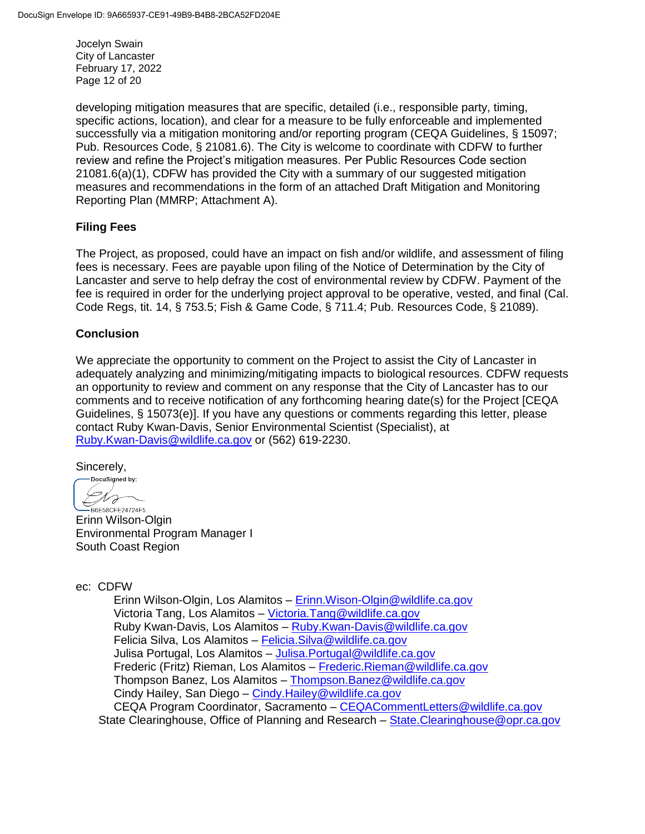Jocelyn Swain City of Lancaster February 17, 2022 Page 12 of 20

developing mitigation measures that are specific, detailed (i.e., responsible party, timing, specific actions, location), and clear for a measure to be fully enforceable and implemented successfully via a mitigation monitoring and/or reporting program (CEQA Guidelines, § 15097; Pub. Resources Code, § 21081.6). The City is welcome to coordinate with CDFW to further review and refine the Project's mitigation measures. Per Public Resources Code section 21081.6(a)(1), CDFW has provided the City with a summary of our suggested mitigation measures and recommendations in the form of an attached Draft Mitigation and Monitoring Reporting Plan (MMRP; Attachment A).

# **Filing Fees**

The Project, as proposed, could have an impact on fish and/or wildlife, and assessment of filing fees is necessary. Fees are payable upon filing of the Notice of Determination by the City of Lancaster and serve to help defray the cost of environmental review by CDFW. Payment of the fee is required in order for the underlying project approval to be operative, vested, and final (Cal. Code Regs, tit. 14, § 753.5; Fish & Game Code, § 711.4; Pub. Resources Code, § 21089).

#### **Conclusion**

We appreciate the opportunity to comment on the Project to assist the City of Lancaster in adequately analyzing and minimizing/mitigating impacts to biological resources. CDFW requests an opportunity to review and comment on any response that the City of Lancaster has to our comments and to receive notification of any forthcoming hearing date(s) for the Project [CEQA Guidelines, § 15073(e)]. If you have any questions or comments regarding this letter, please contact Ruby Kwan-Davis, Senior Environmental Scientist (Specialist), at [Ruby.Kwan-Davis@wildlife.ca.gov](mailto:Ruby.Kwan-Davis@wildlife.ca.gov) or (562) 619-2230.

Sincerely,<br>
Sincerely,

1 J  $\leftarrow$ -<br>B6E58CFE24724F5...

Erinn Wilson-Olgin Environmental Program Manager I South Coast Region

ec: CDFW

Erinn Wilson-Olgin, Los Alamitos – [Erinn.Wison-Olgin@wildlife.ca.gov](mailto:Erinn.Wison-Olgin@wildlife.ca.gov) Victoria Tang, Los Alamitos – [Victoria.Tang@wildlife.ca.gov](mailto:Victoria.Tang@wildlife.ca.gov) Ruby Kwan-Davis, Los Alamitos – [Ruby.Kwan-Davis@wildlife.ca.gov](mailto:Ruby.Kwan-Davis@wildlife.ca.gov) Felicia Silva, Los Alamitos – [Felicia.Silva@wildlife.ca.gov](mailto:Felicia.Silva@wildlife.ca.gov) Julisa Portugal, Los Alamitos – [Julisa.Portugal@wildlife.ca.gov](mailto:Julisa.Portugal@wildlife.ca.gov) Frederic (Fritz) Rieman, Los Alamitos – [Frederic.Rieman@wildlife.ca.gov](mailto:Frederic.Rieman@wildlife.ca.gov) Thompson Banez, Los Alamitos – [Thompson.Banez@wildlife.ca.gov](mailto:Thompson.Banez@wildlife.ca.gov) Cindy Hailey, San Diego – [Cindy.Hailey@wildlife.ca.gov](mailto:Cindy.Hailey@wildlife.ca.gov) CEQA Program Coordinator, Sacramento – [CEQACommentLetters@wildlife.ca.gov](mailto:CEQACommentLetters@wildlife.ca.gov)  State Clearinghouse, Office of Planning and Research – [State.Clearinghouse@opr.ca.gov](mailto:State.Clearinghouse@opr.ca.gov)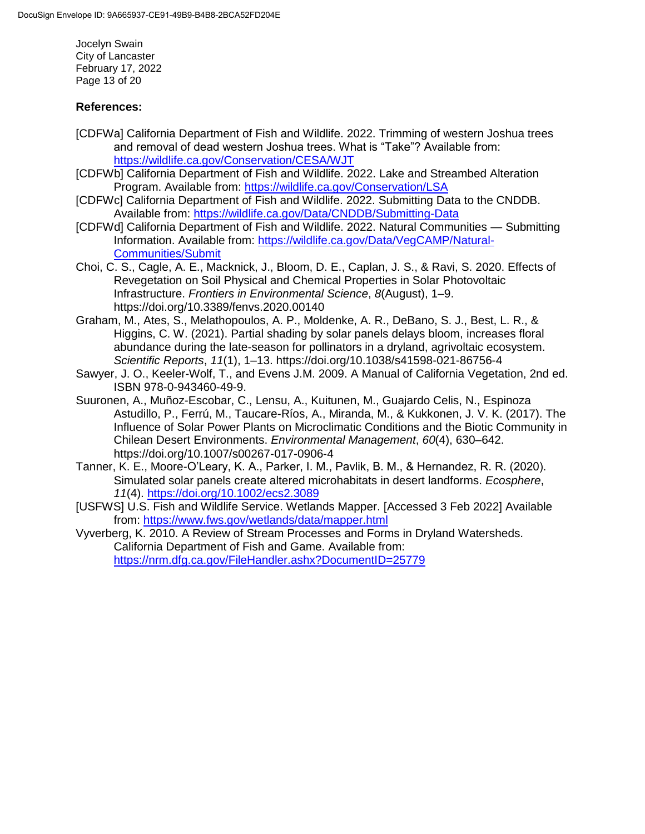Jocelyn Swain City of Lancaster February 17, 2022 Page 13 of 20

## **References:**

- [CDFWa] California Department of Fish and Wildlife. 2022. Trimming of western Joshua trees and removal of dead western Joshua trees. What is "Take"? Available from: <https://wildlife.ca.gov/Conservation/CESA/WJT>
- [CDFWb] California Department of Fish and Wildlife. 2022. Lake and Streambed Alteration Program. Available from:<https://wildlife.ca.gov/Conservation/LSA>
- [CDFWc] California Department of Fish and Wildlife. 2022. Submitting Data to the CNDDB. Available from:<https://wildlife.ca.gov/Data/CNDDB/Submitting-Data>
- [CDFWd] California Department of Fish and Wildlife. 2022. Natural Communities Submitting Information. Available from: [https://wildlife.ca.gov/Data/VegCAMP/Natural-](https://wildlife.ca.gov/Data/VegCAMP/Natural-Communities/Submit)[Communities/Submit](https://wildlife.ca.gov/Data/VegCAMP/Natural-Communities/Submit)
- Choi, C. S., Cagle, A. E., Macknick, J., Bloom, D. E., Caplan, J. S., & Ravi, S. 2020. Effects of Revegetation on Soil Physical and Chemical Properties in Solar Photovoltaic Infrastructure. *Frontiers in Environmental Science*, *8*(August), 1–9. https://doi.org/10.3389/fenvs.2020.00140
- Graham, M., Ates, S., Melathopoulos, A. P., Moldenke, A. R., DeBano, S. J., Best, L. R., & Higgins, C. W. (2021). Partial shading by solar panels delays bloom, increases floral abundance during the late-season for pollinators in a dryland, agrivoltaic ecosystem. *Scientific Reports*, *11*(1), 1–13. https://doi.org/10.1038/s41598-021-86756-4
- Sawyer, J. O., Keeler-Wolf, T., and Evens J.M. 2009. A Manual of California Vegetation, 2nd ed. ISBN 978-0-943460-49-9.
- Suuronen, A., Muñoz-Escobar, C., Lensu, A., Kuitunen, M., Guajardo Celis, N., Espinoza Astudillo, P., Ferrú, M., Taucare-Ríos, A., Miranda, M., & Kukkonen, J. V. K. (2017). The Influence of Solar Power Plants on Microclimatic Conditions and the Biotic Community in Chilean Desert Environments. *Environmental Management*, *60*(4), 630–642. https://doi.org/10.1007/s00267-017-0906-4
- Tanner, K. E., Moore-O'Leary, K. A., Parker, I. M., Pavlik, B. M., & Hernandez, R. R. (2020). Simulated solar panels create altered microhabitats in desert landforms. *Ecosphere*, *11*(4).<https://doi.org/10.1002/ecs2.3089>
- [USFWS] U.S. Fish and Wildlife Service. Wetlands Mapper. [Accessed 3 Feb 2022] Available from:<https://www.fws.gov/wetlands/data/mapper.html>

Vyverberg, K. 2010. A Review of Stream Processes and Forms in Dryland Watersheds. California Department of Fish and Game. Available from: <https://nrm.dfg.ca.gov/FileHandler.ashx?DocumentID=25779>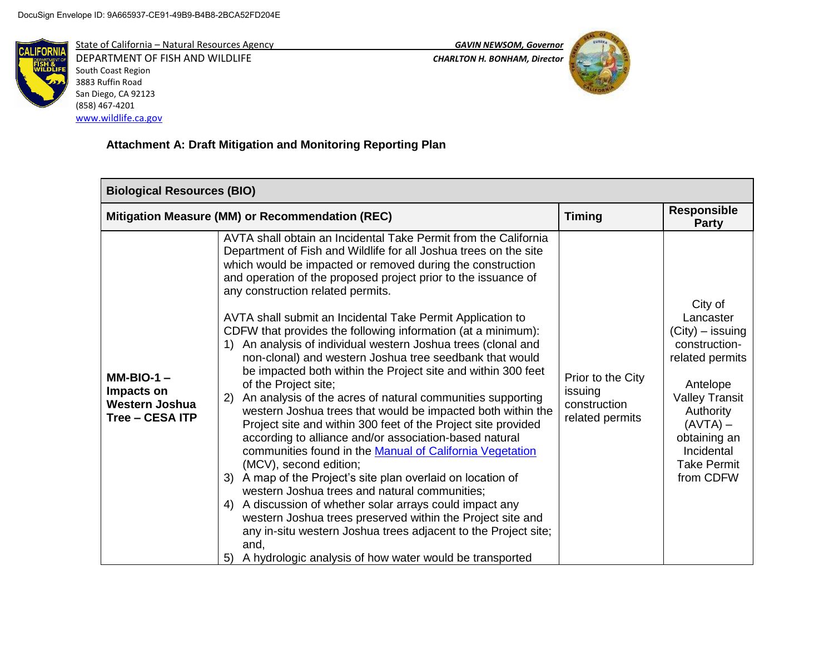

DEPARTMENT OF FISH AND WILDLIFE *CHARLTON H. BONHAM, Director*  South Coast Region 3883 Ruffin Road San Diego, CA 92123 (858) 467-4201 [www.wildlife.ca.gov](http://www.wildlife.ca.gov/)

State of California – Natural Resources Agency *GAVIN NEWSOM, Governor*



# **Attachment A: Draft Mitigation and Monitoring Reporting Plan**

| <b>Biological Resources (BIO)</b>                                      |                                                                                                                                                                                                                                                                                                                                                                                                                                                                                                                                                                                                                                                                                                                                                                                                                                                                                                                                                                                                                                                                                                                                                                                                                                                                                                                                                                                                        |                                                                 |                                                                                                                                                                                                                 |
|------------------------------------------------------------------------|--------------------------------------------------------------------------------------------------------------------------------------------------------------------------------------------------------------------------------------------------------------------------------------------------------------------------------------------------------------------------------------------------------------------------------------------------------------------------------------------------------------------------------------------------------------------------------------------------------------------------------------------------------------------------------------------------------------------------------------------------------------------------------------------------------------------------------------------------------------------------------------------------------------------------------------------------------------------------------------------------------------------------------------------------------------------------------------------------------------------------------------------------------------------------------------------------------------------------------------------------------------------------------------------------------------------------------------------------------------------------------------------------------|-----------------------------------------------------------------|-----------------------------------------------------------------------------------------------------------------------------------------------------------------------------------------------------------------|
|                                                                        | Mitigation Measure (MM) or Recommendation (REC)                                                                                                                                                                                                                                                                                                                                                                                                                                                                                                                                                                                                                                                                                                                                                                                                                                                                                                                                                                                                                                                                                                                                                                                                                                                                                                                                                        |                                                                 | <b>Responsible</b><br><b>Party</b>                                                                                                                                                                              |
| $MM-BIO-1 -$<br>Impacts on<br><b>Western Joshua</b><br>Tree - CESA ITP | AVTA shall obtain an Incidental Take Permit from the California<br>Department of Fish and Wildlife for all Joshua trees on the site<br>which would be impacted or removed during the construction<br>and operation of the proposed project prior to the issuance of<br>any construction related permits.<br>AVTA shall submit an Incidental Take Permit Application to<br>CDFW that provides the following information (at a minimum):<br>An analysis of individual western Joshua trees (clonal and<br>non-clonal) and western Joshua tree seedbank that would<br>be impacted both within the Project site and within 300 feet<br>of the Project site;<br>An analysis of the acres of natural communities supporting<br>2)<br>western Joshua trees that would be impacted both within the<br>Project site and within 300 feet of the Project site provided<br>according to alliance and/or association-based natural<br>communities found in the Manual of California Vegetation<br>(MCV), second edition;<br>A map of the Project's site plan overlaid on location of<br>3)<br>western Joshua trees and natural communities;<br>A discussion of whether solar arrays could impact any<br>4)<br>western Joshua trees preserved within the Project site and<br>any in-situ western Joshua trees adjacent to the Project site;<br>and,<br>A hydrologic analysis of how water would be transported<br>5) | Prior to the City<br>issuing<br>construction<br>related permits | City of<br>Lancaster<br>$(City)$ – issuing<br>construction-<br>related permits<br>Antelope<br><b>Valley Transit</b><br>Authority<br>$(AVTA)$ –<br>obtaining an<br>Incidental<br><b>Take Permit</b><br>from CDFW |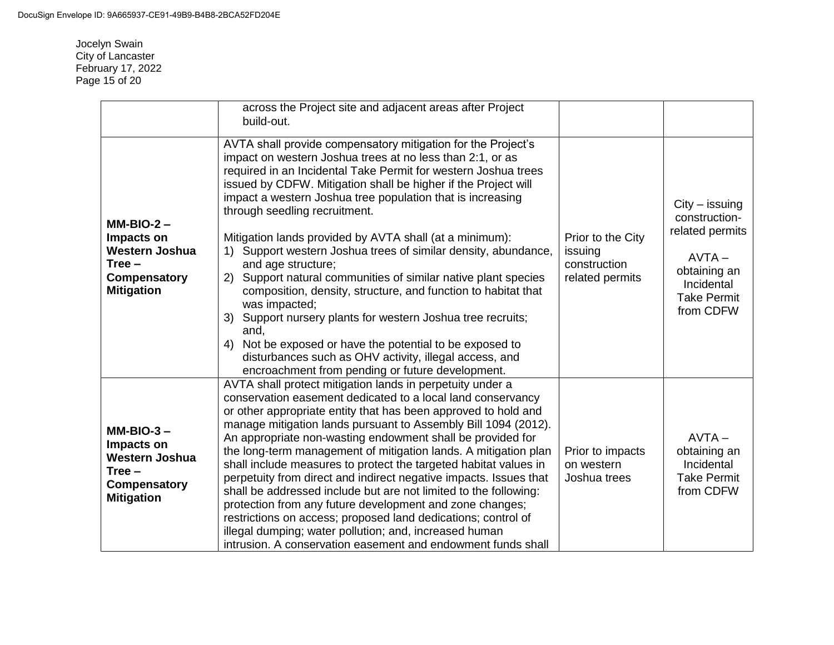Jocelyn Swain City of Lancaster February 17, 2022 Page 15 of 20

|                                                                                                            | across the Project site and adjacent areas after Project<br>build-out.                                                                                                                                                                                                                                                                                                                                                                                                                                                                                                                                                                                                                                                                                                                                                                                                                                                            |                                                                 |                                                                                                                                   |
|------------------------------------------------------------------------------------------------------------|-----------------------------------------------------------------------------------------------------------------------------------------------------------------------------------------------------------------------------------------------------------------------------------------------------------------------------------------------------------------------------------------------------------------------------------------------------------------------------------------------------------------------------------------------------------------------------------------------------------------------------------------------------------------------------------------------------------------------------------------------------------------------------------------------------------------------------------------------------------------------------------------------------------------------------------|-----------------------------------------------------------------|-----------------------------------------------------------------------------------------------------------------------------------|
| $MM-BIO-2 -$<br>Impacts on<br><b>Western Joshua</b><br>$Tree -$<br>Compensatory<br><b>Mitigation</b>       | AVTA shall provide compensatory mitigation for the Project's<br>impact on western Joshua trees at no less than 2:1, or as<br>required in an Incidental Take Permit for western Joshua trees<br>issued by CDFW. Mitigation shall be higher if the Project will<br>impact a western Joshua tree population that is increasing<br>through seedling recruitment.<br>Mitigation lands provided by AVTA shall (at a minimum):<br>Support western Joshua trees of similar density, abundance,<br>1)<br>and age structure;<br>Support natural communities of similar native plant species<br>(2)<br>composition, density, structure, and function to habitat that<br>was impacted;<br>Support nursery plants for western Joshua tree recruits;<br>3)<br>and,<br>Not be exposed or have the potential to be exposed to<br>4)<br>disturbances such as OHV activity, illegal access, and<br>encroachment from pending or future development. | Prior to the City<br>issuing<br>construction<br>related permits | $City - issuing$<br>construction-<br>related permits<br>$AVTA -$<br>obtaining an<br>Incidental<br><b>Take Permit</b><br>from CDFW |
| $MM-BIO-3-$<br>Impacts on<br><b>Western Joshua</b><br>$Tree -$<br><b>Compensatory</b><br><b>Mitigation</b> | AVTA shall protect mitigation lands in perpetuity under a<br>conservation easement dedicated to a local land conservancy<br>or other appropriate entity that has been approved to hold and<br>manage mitigation lands pursuant to Assembly Bill 1094 (2012).<br>An appropriate non-wasting endowment shall be provided for<br>the long-term management of mitigation lands. A mitigation plan<br>shall include measures to protect the targeted habitat values in<br>perpetuity from direct and indirect negative impacts. Issues that<br>shall be addressed include but are not limited to the following:<br>protection from any future development and zone changes;<br>restrictions on access; proposed land dedications; control of<br>illegal dumping; water pollution; and, increased human<br>intrusion. A conservation easement and endowment funds shall                                                                 | Prior to impacts<br>on western<br>Joshua trees                  | $AVTA -$<br>obtaining an<br>Incidental<br><b>Take Permit</b><br>from CDFW                                                         |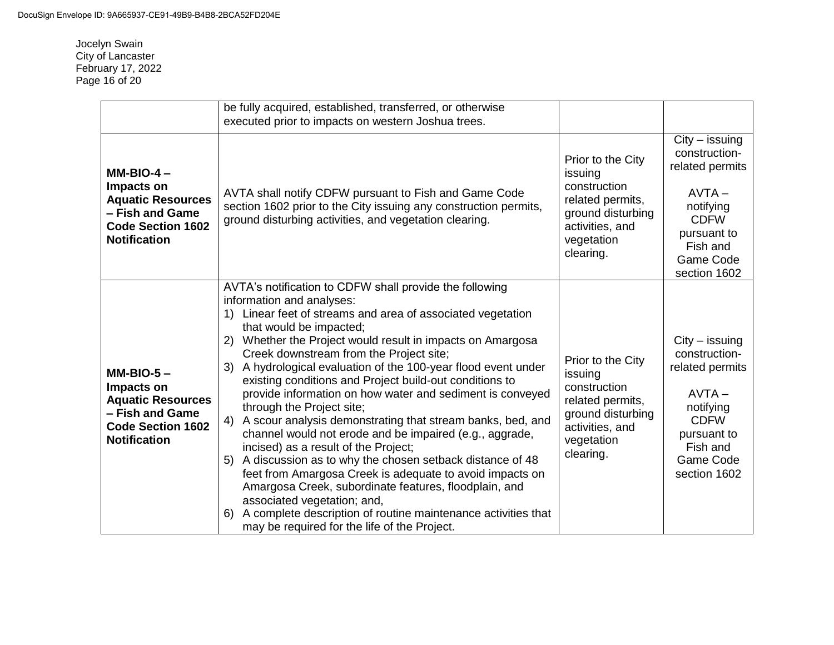Jocelyn Swain City of Lancaster February 17, 2022 Page 16 of 20

|                                                                                                                             | be fully acquired, established, transferred, or otherwise<br>executed prior to impacts on western Joshua trees.                                                                                                                                                                                                                                                                                                                                                                                                                                                                                                                                                                                                                                                                                                                                                                                                                                                                                                                       |                                                                                                                                     |                                                                                                                                                      |
|-----------------------------------------------------------------------------------------------------------------------------|---------------------------------------------------------------------------------------------------------------------------------------------------------------------------------------------------------------------------------------------------------------------------------------------------------------------------------------------------------------------------------------------------------------------------------------------------------------------------------------------------------------------------------------------------------------------------------------------------------------------------------------------------------------------------------------------------------------------------------------------------------------------------------------------------------------------------------------------------------------------------------------------------------------------------------------------------------------------------------------------------------------------------------------|-------------------------------------------------------------------------------------------------------------------------------------|------------------------------------------------------------------------------------------------------------------------------------------------------|
| $MM-BIO-4-$<br>Impacts on<br><b>Aquatic Resources</b><br>- Fish and Game<br><b>Code Section 1602</b><br><b>Notification</b> | AVTA shall notify CDFW pursuant to Fish and Game Code<br>section 1602 prior to the City issuing any construction permits,<br>ground disturbing activities, and vegetation clearing.                                                                                                                                                                                                                                                                                                                                                                                                                                                                                                                                                                                                                                                                                                                                                                                                                                                   | Prior to the City<br>issuing<br>construction<br>related permits,<br>ground disturbing<br>activities, and<br>vegetation<br>clearing. | $City - issuing$<br>construction-<br>related permits<br>$AVTA -$<br>notifying<br><b>CDFW</b><br>pursuant to<br>Fish and<br>Game Code<br>section 1602 |
| $MM-BIO-5-$<br>Impacts on<br><b>Aquatic Resources</b><br>- Fish and Game<br><b>Code Section 1602</b><br><b>Notification</b> | AVTA's notification to CDFW shall provide the following<br>information and analyses:<br>Linear feet of streams and area of associated vegetation<br>that would be impacted;<br>Whether the Project would result in impacts on Amargosa<br>2)<br>Creek downstream from the Project site;<br>A hydrological evaluation of the 100-year flood event under<br>3)<br>existing conditions and Project build-out conditions to<br>provide information on how water and sediment is conveyed<br>through the Project site;<br>A scour analysis demonstrating that stream banks, bed, and<br>4)<br>channel would not erode and be impaired (e.g., aggrade,<br>incised) as a result of the Project;<br>A discussion as to why the chosen setback distance of 48<br>5)<br>feet from Amargosa Creek is adequate to avoid impacts on<br>Amargosa Creek, subordinate features, floodplain, and<br>associated vegetation; and,<br>A complete description of routine maintenance activities that<br>6)<br>may be required for the life of the Project. | Prior to the City<br>issuing<br>construction<br>related permits,<br>ground disturbing<br>activities, and<br>vegetation<br>clearing. | $City - issuing$<br>construction-<br>related permits<br>$AVTA -$<br>notifying<br><b>CDFW</b><br>pursuant to<br>Fish and<br>Game Code<br>section 1602 |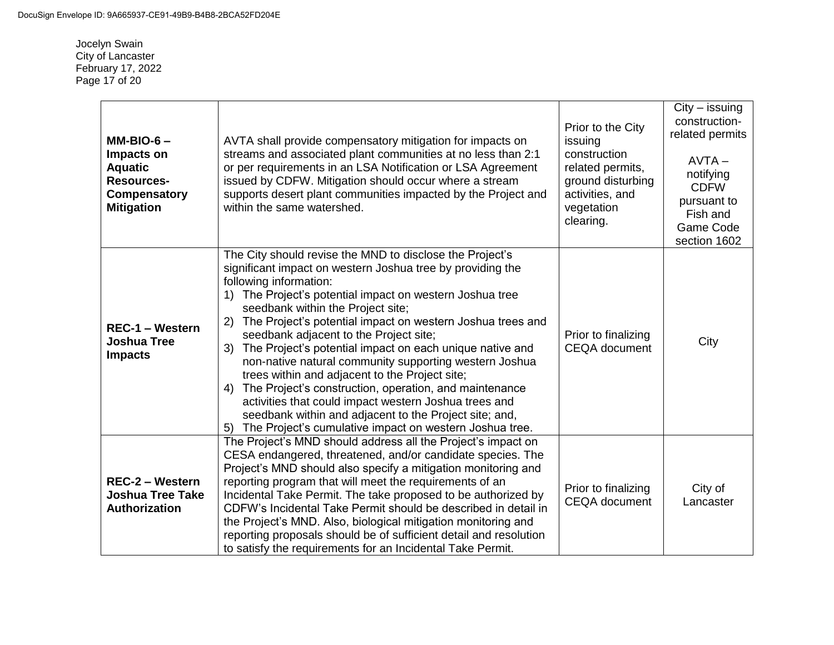Jocelyn Swain City of Lancaster February 17, 2022 Page 17 of 20

| $MM-BIO-6-$<br>Impacts on<br><b>Aquatic</b><br><b>Resources-</b><br>Compensatory<br><b>Mitigation</b> | AVTA shall provide compensatory mitigation for impacts on<br>streams and associated plant communities at no less than 2:1<br>or per requirements in an LSA Notification or LSA Agreement<br>issued by CDFW. Mitigation should occur where a stream<br>supports desert plant communities impacted by the Project and<br>within the same watershed.                                                                                                                                                                                                                                                                                                                                                                                                                                              | Prior to the City<br>issuing<br>construction<br>related permits,<br>ground disturbing<br>activities, and<br>vegetation<br>clearing. | $City - issuing$<br>construction-<br>related permits<br>$AVTA -$<br>notifying<br><b>CDFW</b><br>pursuant to<br>Fish and<br>Game Code<br>section 1602 |
|-------------------------------------------------------------------------------------------------------|------------------------------------------------------------------------------------------------------------------------------------------------------------------------------------------------------------------------------------------------------------------------------------------------------------------------------------------------------------------------------------------------------------------------------------------------------------------------------------------------------------------------------------------------------------------------------------------------------------------------------------------------------------------------------------------------------------------------------------------------------------------------------------------------|-------------------------------------------------------------------------------------------------------------------------------------|------------------------------------------------------------------------------------------------------------------------------------------------------|
| <b>REC-1 - Western</b><br><b>Joshua Tree</b><br><b>Impacts</b>                                        | The City should revise the MND to disclose the Project's<br>significant impact on western Joshua tree by providing the<br>following information:<br>The Project's potential impact on western Joshua tree<br>seedbank within the Project site;<br>The Project's potential impact on western Joshua trees and<br>2)<br>seedbank adjacent to the Project site;<br>The Project's potential impact on each unique native and<br>3)<br>non-native natural community supporting western Joshua<br>trees within and adjacent to the Project site;<br>The Project's construction, operation, and maintenance<br>4)<br>activities that could impact western Joshua trees and<br>seedbank within and adjacent to the Project site; and,<br>The Project's cumulative impact on western Joshua tree.<br>5) | Prior to finalizing<br><b>CEQA</b> document                                                                                         | City                                                                                                                                                 |
| <b>REC-2 - Western</b><br><b>Joshua Tree Take</b><br>Authorization                                    | The Project's MND should address all the Project's impact on<br>CESA endangered, threatened, and/or candidate species. The<br>Project's MND should also specify a mitigation monitoring and<br>reporting program that will meet the requirements of an<br>Incidental Take Permit. The take proposed to be authorized by<br>CDFW's Incidental Take Permit should be described in detail in<br>the Project's MND. Also, biological mitigation monitoring and<br>reporting proposals should be of sufficient detail and resolution<br>to satisfy the requirements for an Incidental Take Permit.                                                                                                                                                                                                  | Prior to finalizing<br><b>CEQA</b> document                                                                                         | City of<br>Lancaster                                                                                                                                 |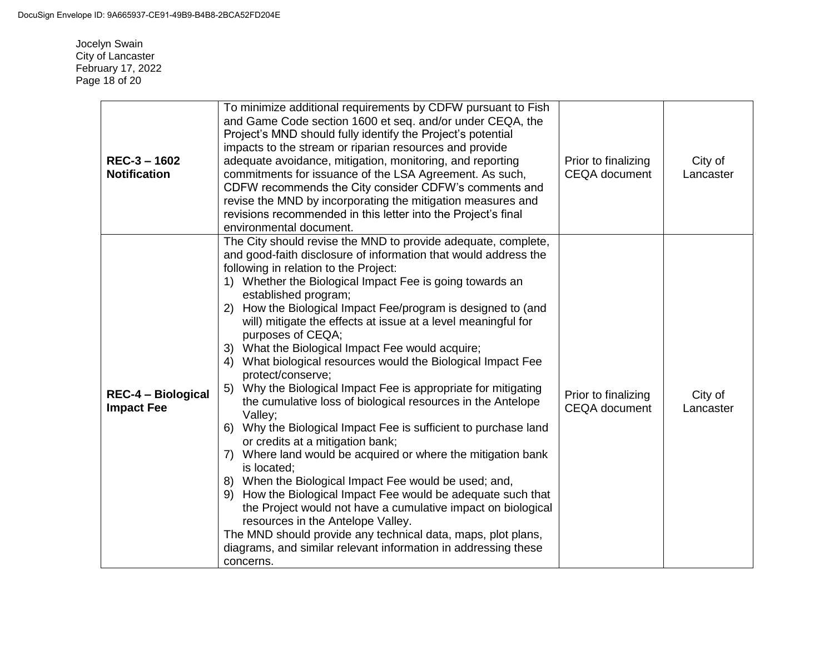Jocelyn Swain City of Lancaster February 17, 2022 Page 18 of 20

| REC-3-1602<br><b>Notification</b>              | To minimize additional requirements by CDFW pursuant to Fish<br>and Game Code section 1600 et seq. and/or under CEQA, the<br>Project's MND should fully identify the Project's potential<br>impacts to the stream or riparian resources and provide<br>adequate avoidance, mitigation, monitoring, and reporting<br>commitments for issuance of the LSA Agreement. As such,<br>CDFW recommends the City consider CDFW's comments and<br>revise the MND by incorporating the mitigation measures and<br>revisions recommended in this letter into the Project's final<br>environmental document.                                                                                                                                                                                                                                                                                                                                                                                                                                                                                                                                                                                                                                                                                                | Prior to finalizing<br><b>CEQA</b> document | City of<br>Lancaster |
|------------------------------------------------|------------------------------------------------------------------------------------------------------------------------------------------------------------------------------------------------------------------------------------------------------------------------------------------------------------------------------------------------------------------------------------------------------------------------------------------------------------------------------------------------------------------------------------------------------------------------------------------------------------------------------------------------------------------------------------------------------------------------------------------------------------------------------------------------------------------------------------------------------------------------------------------------------------------------------------------------------------------------------------------------------------------------------------------------------------------------------------------------------------------------------------------------------------------------------------------------------------------------------------------------------------------------------------------------|---------------------------------------------|----------------------|
| <b>REC-4 - Biological</b><br><b>Impact Fee</b> | The City should revise the MND to provide adequate, complete,<br>and good-faith disclosure of information that would address the<br>following in relation to the Project:<br>1) Whether the Biological Impact Fee is going towards an<br>established program;<br>How the Biological Impact Fee/program is designed to (and<br>(2)<br>will) mitigate the effects at issue at a level meaningful for<br>purposes of CEQA;<br>3) What the Biological Impact Fee would acquire;<br>What biological resources would the Biological Impact Fee<br>4)<br>protect/conserve;<br>Why the Biological Impact Fee is appropriate for mitigating<br>5)<br>the cumulative loss of biological resources in the Antelope<br>Valley;<br>Why the Biological Impact Fee is sufficient to purchase land<br>6)<br>or credits at a mitigation bank;<br>Where land would be acquired or where the mitigation bank<br>7)<br>is located;<br>8) When the Biological Impact Fee would be used; and,<br>How the Biological Impact Fee would be adequate such that<br>9)<br>the Project would not have a cumulative impact on biological<br>resources in the Antelope Valley.<br>The MND should provide any technical data, maps, plot plans,<br>diagrams, and similar relevant information in addressing these<br>concerns. | Prior to finalizing<br><b>CEQA</b> document | City of<br>Lancaster |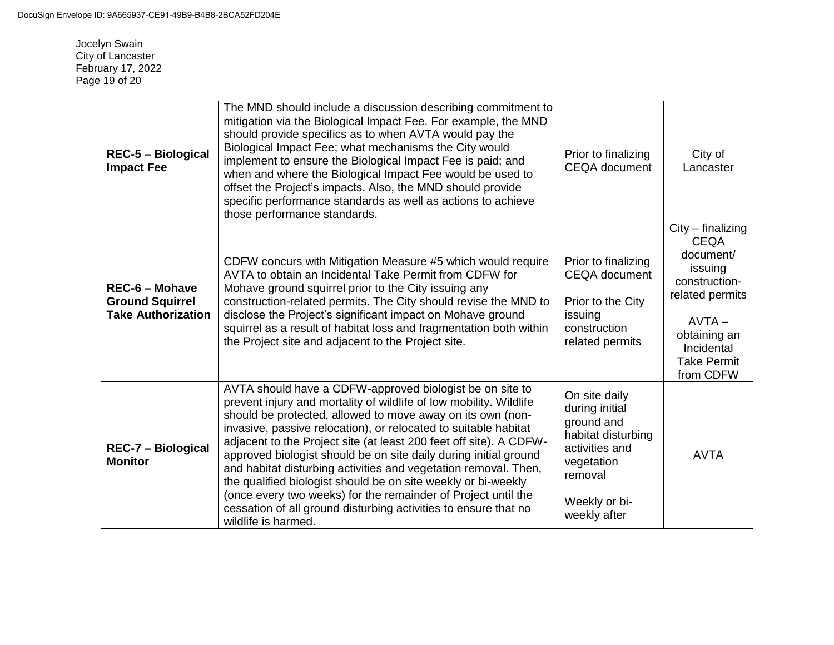Jocelyn Swain City of Lancaster February 17, 2022 Page 19 of 20

| <b>REC-5 - Biological</b><br><b>Impact Fee</b>                               | The MND should include a discussion describing commitment to<br>mitigation via the Biological Impact Fee. For example, the MND<br>should provide specifics as to when AVTA would pay the<br>Biological Impact Fee; what mechanisms the City would<br>implement to ensure the Biological Impact Fee is paid; and<br>when and where the Biological Impact Fee would be used to<br>offset the Project's impacts. Also, the MND should provide<br>specific performance standards as well as actions to achieve<br>those performance standards.                                                                                                                                                               | Prior to finalizing<br><b>CEQA</b> document                                                                                                     | City of<br>Lancaster                                                                                                                                                        |
|------------------------------------------------------------------------------|----------------------------------------------------------------------------------------------------------------------------------------------------------------------------------------------------------------------------------------------------------------------------------------------------------------------------------------------------------------------------------------------------------------------------------------------------------------------------------------------------------------------------------------------------------------------------------------------------------------------------------------------------------------------------------------------------------|-------------------------------------------------------------------------------------------------------------------------------------------------|-----------------------------------------------------------------------------------------------------------------------------------------------------------------------------|
| <b>REC-6 - Mohave</b><br><b>Ground Squirrel</b><br><b>Take Authorization</b> | CDFW concurs with Mitigation Measure #5 which would require<br>AVTA to obtain an Incidental Take Permit from CDFW for<br>Mohave ground squirrel prior to the City issuing any<br>construction-related permits. The City should revise the MND to<br>disclose the Project's significant impact on Mohave ground<br>squirrel as a result of habitat loss and fragmentation both within<br>the Project site and adjacent to the Project site.                                                                                                                                                                                                                                                               | Prior to finalizing<br><b>CEQA</b> document<br>Prior to the City<br>issuing<br>construction<br>related permits                                  | $City$ – finalizing<br><b>CEQA</b><br>document/<br>issuing<br>construction-<br>related permits<br>$AVTA -$<br>obtaining an<br>Incidental<br><b>Take Permit</b><br>from CDFW |
| <b>REC-7 - Biological</b><br><b>Monitor</b>                                  | AVTA should have a CDFW-approved biologist be on site to<br>prevent injury and mortality of wildlife of low mobility. Wildlife<br>should be protected, allowed to move away on its own (non-<br>invasive, passive relocation), or relocated to suitable habitat<br>adjacent to the Project site (at least 200 feet off site). A CDFW-<br>approved biologist should be on site daily during initial ground<br>and habitat disturbing activities and vegetation removal. Then,<br>the qualified biologist should be on site weekly or bi-weekly<br>(once every two weeks) for the remainder of Project until the<br>cessation of all ground disturbing activities to ensure that no<br>wildlife is harmed. | On site daily<br>during initial<br>ground and<br>habitat disturbing<br>activities and<br>vegetation<br>removal<br>Weekly or bi-<br>weekly after | <b>AVTA</b>                                                                                                                                                                 |